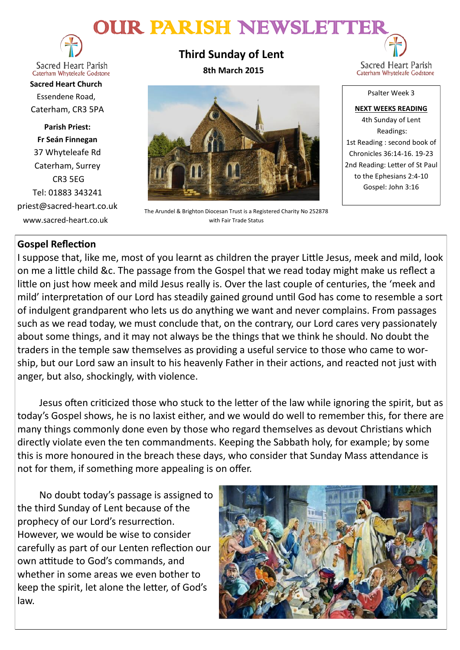# OUR PARISH NEWSLETTE



**Sacred Heart Parish** Caterham Whyteleafe Godstone

**Sacred Heart Church** Essendene Road, Caterham, CR3 5PA

**Parish Priest: Fr Seán Finnegan** 37 Whyteleafe Rd Caterham, Surrey CR3 5EG Tel: 01883 343241 priest@sacred-heart.co.uk www.sacred-heart.co.uk

**Third Sunday of Lent 8th March 2015**



The Arundel & Brighton Diocesan Trust is a Registered Charity No 252878 with Fair Trade Status

Sacred Heart Parish Caterham Whyteleafe Godstone

Psalter Week 3

**NEXT WEEKS READING** 4th Sunday of Lent Readings: 1st Reading : second book of Chronicles 36:14-16. 19-23 2nd Reading: Letter of St Paul to the Ephesians 2:4-10 Gospel: John 3:16

# **Gospel Reflection**

I suppose that, like me, most of you learnt as children the prayer Little Jesus, meek and mild, look on me a little child &c. The passage from the Gospel that we read today might make us reflect a little on just how meek and mild Jesus really is. Over the last couple of centuries, the 'meek and mild' interpretation of our Lord has steadily gained ground until God has come to resemble a sort of indulgent grandparent who lets us do anything we want and never complains. From passages such as we read today, we must conclude that, on the contrary, our Lord cares very passionately about some things, and it may not always be the things that we think he should. No doubt the traders in the temple saw themselves as providing a useful service to those who came to worship, but our Lord saw an insult to his heavenly Father in their actions, and reacted not just with anger, but also, shockingly, with violence.

Jesus often criticized those who stuck to the letter of the law while ignoring the spirit, but as today's Gospel shows, he is no laxist either, and we would do well to remember this, for there are many things commonly done even by those who regard themselves as devout Christians which directly violate even the ten commandments. Keeping the Sabbath holy, for example; by some this is more honoured in the breach these days, who consider that Sunday Mass attendance is not for them, if something more appealing is on offer.

No doubt today's passage is assigned to the third Sunday of Lent because of the prophecy of our Lord's resurrection. However, we would be wise to consider carefully as part of our Lenten reflection our own attitude to God's commands, and whether in some areas we even bother to keep the spirit, let alone the letter, of God's law.

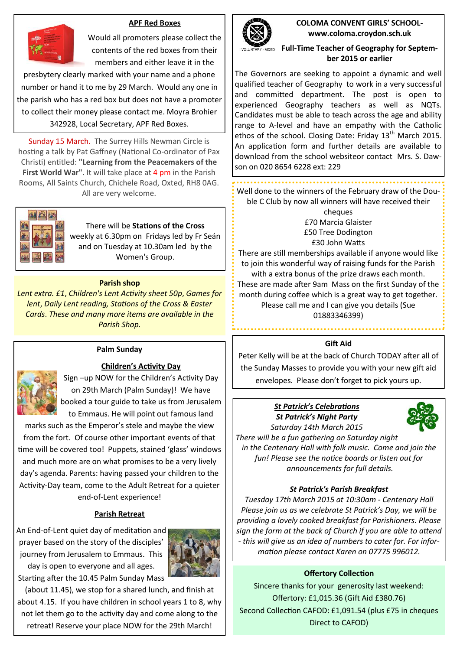### **APF Red Boxes**



Would all promoters please collect the contents of the red boxes from their members and either leave it in the

presbytery clearly marked with your name and a phone number or hand it to me by 29 March. Would any one in the parish who has a red box but does not have a promoter to collect their money please contact me. Moyra Brohier 342928, Local Secretary, APF Red Boxes.

Sunday 15 March. The Surrey Hills Newman Circle is hosting a talk by Pat Gaffney (National Co-ordinator of Pax Christi) entitled: **"Learning from the Peacemakers of the First World War"**. It will take place at 4 pm in the Parish Rooms, All Saints Church, Chichele Road, Oxted, RH8 0AG. All are very welcome.



#### There will be **Stations of the Cross**

weekly at 6.30pm on Fridays led by Fr Seán and on Tuesday at 10.30am led by the Women's Group.

#### **Parish shop**

*Lent extra. £1*, *Children's Lent Activity sheet 50p*, *Games for lent*, *Daily Lent reading, Stations of the Cross & Easter Cards*. *These and many more items are available in the Parish Shop.*



### **Palm Sunday**

#### **Children's Activity Day**

Sign –up NOW for the Children's Activity Day on 29th March (Palm Sunday)! We have booked a tour guide to take us from Jerusalem to Emmaus. He will point out famous land

marks such as the Emperor's stele and maybe the view from the fort. Of course other important events of that time will be covered too! Puppets, stained 'glass' windows and much more are on what promises to be a very lively day's agenda. Parents: having passed your children to the Activity-Day team, come to the Adult Retreat for a quieter end-of-Lent experience!

### **Parish Retreat**

An End-of-Lent quiet day of meditation and prayer based on the story of the disciples' journey from Jerusalem to Emmaus. This day is open to everyone and all ages. Starting after the 10.45 Palm Sunday Mass



(about 11.45), we stop for a shared lunch, and finish at about 4.15. If you have children in school years 1 to 8, why not let them go to the activity day and come along to the retreat! Reserve your place NOW for the 29th March!



**COLOMA CONVENT GIRLS' SCHOOLwww.coloma.croydon.sch.uk**

## **Full-Time Teacher of Geography for September 2015 or earlier**

The Governors are seeking to appoint a dynamic and well qualified teacher of Geography to work in a very successful and committed department. The post is open to experienced Geography teachers as well as NQTs. Candidates must be able to teach across the age and ability range to A-level and have an empathy with the Catholic ethos of the school. Closing Date: Friday  $13<sup>th</sup>$  March 2015. An application form and further details are available to download from the school websiteor contact Mrs. S. Dawson on 020 8654 6228 ext: 229

Well done to the winners of the February draw of the Double C Club by now all winners will have received their

> cheques £70 Marcia Glaister £50 Tree Dodington £30 John Watts

There are still memberships available if anyone would like to join this wonderful way of raising funds for the Parish with a extra bonus of the prize draws each month. These are made after 9am Mass on the first Sunday of the month during coffee which is a great way to get together. Please call me and I can give you details (Sue 01883346399)

#### **Gift Aid**

Peter Kelly will be at the back of Church TODAY after all of the Sunday Masses to provide you with your new gift aid envelopes. Please don't forget to pick yours up.

## *St Patrick's Celebrations St Patrick's Night Party Saturday 14th March 2015*



*There will be a fun gathering on Saturday night in the Centenary Hall with folk music. Come and join the fun! Please see the notice boards or listen out for announcements for full details.*

### *St Patrick's Parish Breakfast*

*Tuesday 17th March 2015 at 10:30am - Centenary Hall Please join us as we celebrate St Patrick's Day, we will be providing a lovely cooked breakfast for Parishioners. Please sign the form at the back of Church if you are able to attend - this will give us an idea of numbers to cater for. For information please contact Karen on 07775 996012.*

### **Offertory Collection**

Sincere thanks for your generosity last weekend: Offertory: £1,015.36 (Gift Aid £380.76) Second Collection CAFOD: £1,091.54 (plus £75 in cheques Direct to CAFOD)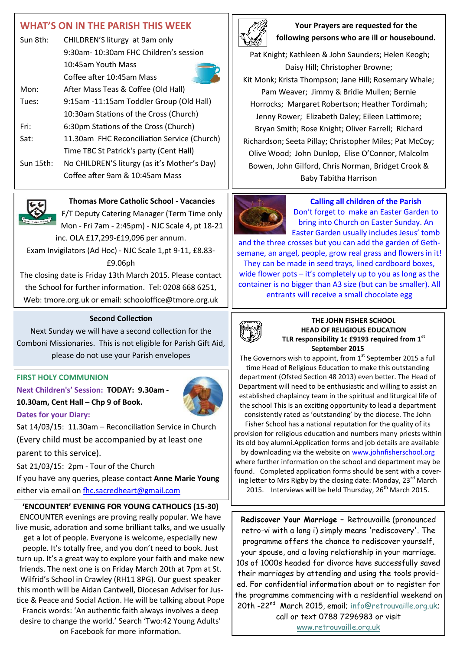# **WHAT'S ON IN THE PARISH THIS WEEK**

| Sun 8th:  | CHILDREN'S liturgy at 9am only<br>9:30am-10:30am FHC Children's session |  |
|-----------|-------------------------------------------------------------------------|--|
|           |                                                                         |  |
|           | 10:45am Youth Mass                                                      |  |
|           | Coffee after 10:45am Mass                                               |  |
| Mon:      | After Mass Teas & Coffee (Old Hall)                                     |  |
| Tues:     | 9:15am -11:15am Toddler Group (Old Hall)                                |  |
|           | 10:30am Stations of the Cross (Church)                                  |  |
| Fri:      | 6:30pm Stations of the Cross (Church)                                   |  |
| Sat:      | 11.30am FHC Reconciliation Service (Church)                             |  |
|           | Time TBC St Patrick's party (Cent Hall)                                 |  |
| Sun 15th: | No CHILDREN'S liturgy (as it's Mother's Day)                            |  |
|           | Coffee after 9am & 10:45am Mass                                         |  |



# **Thomas More Catholic School - Vacancies**

F/T Deputy Catering Manager (Term Time only Mon - Fri 7am - 2:45pm) - NJC Scale 4, pt 18-21 inc. OLA £17,299-£19,096 per annum.

Exam Invigilators (Ad Hoc) - NJC Scale 1,pt 9-11, £8.83- £9.06ph

The closing date is Friday 13th March 2015. Please contact the School for further information. Tel: 0208 668 6251, Web: tmore.org.uk or email: schooloffice@tmore.org.uk

#### **Second Collection**

Next Sunday we will have a second collection for the Comboni Missionaries. This is not eligible for Parish Gift Aid, please do not use your Parish envelopes

### **FIRST HOLY COMMUNION**

**Next Children's' Session: TODAY: 9.30am - 10.30am, Cent Hall – Chp 9 of Book. Dates for your Diary:**



Sat 14/03/15: 11.30am – Reconciliation Service in Church (Every child must be accompanied by at least one parent to this service).

Sat 21/03/15: 2pm - Tour of the Church

If you have any queries, please contact **Anne Marie Young** either via email on fhc.sacredheart@gmail.com

# **'ENCOUNTER' EVENING FOR YOUNG CATHOLICS (15-30)**

ENCOUNTER evenings are proving really popular. We have live music, adoration and some brilliant talks, and we usually get a lot of people. Everyone is welcome, especially new people. It's totally free, and you don't need to book. Just turn up. It's a great way to explore your faith and make new friends. The next one is on Friday March 20th at 7pm at St. Wilfrid's School in Crawley (RH11 8PG). Our guest speaker this month will be Aidan Cantwell, Diocesan Adviser for Justice & Peace and Social Action. He will be talking about Pope Francis words: 'An authentic faith always involves a deep desire to change the world.' Search 'Two:42 Young Adults' on Facebook for more information.



# **Your Prayers are requested for the following persons who are ill or housebound.**

Pat Knight; Kathleen & John Saunders; Helen Keogh; Daisy Hill; Christopher Browne; Kit Monk; Krista Thompson; Jane Hill; Rosemary Whale; Pam Weaver; Jimmy & Bridie Mullen; Bernie Horrocks; Margaret Robertson; Heather Tordimah; Jenny Rower; Elizabeth Daley; Eileen Lattimore; Bryan Smith; Rose Knight; Oliver Farrell; Richard Richardson; Seeta Pillay; Christopher Miles; Pat McCoy; Olive Wood; John Dunlop, Elise O'Connor, Malcolm Bowen, John Gilford, Chris Norman, Bridget Crook & Baby Tabitha Harrison



**Calling all children of the Parish** Don't forget to make an Easter Garden to

bring into Church on Easter Sunday. An Easter Garden usually includes Jesus' tomb

and the three crosses but you can add the garden of Gethsemane, an angel, people, grow real grass and flowers in it! They can be made in seed trays, lined cardboard boxes, wide flower pots – it's completely up to you as long as the container is no bigger than A3 size (but can be smaller). All entrants will receive a small chocolate egg



#### **THE JOHN FISHER SCHOOL HEAD OF RELIGIOUS EDUCATION TLR responsibility 1c £9193 required from 1st September 2015**

The Governors wish to appoint, from  $1<sup>st</sup>$  September 2015 a full time Head of Religious Education to make this outstanding department (Ofsted Section 48 2013) even better. The Head of Department will need to be enthusiastic and willing to assist an established chaplaincy team in the spiritual and liturgical life of the school This is an exciting opportunity to lead a department consistently rated as 'outstanding' by the diocese. The John

Fisher School has a national reputation for the quality of its provision for religious education and numbers many priests within its old boy alumni.Application forms and job details are available by downloading via the website on [www.johnfisherschool.org](http://www.johnfisherschool.org) where further information on the school and department may be found. Completed application forms should be sent with a covering letter to Mrs Rigby by the closing date: Monday,  $23^{\text{rd}}$  March 2015. Interviews will be held Thursday,  $26<sup>th</sup>$  March 2015.

**Rediscover Your Marriage –** Retrouvaille (pronounced retro-vi with a long i) simply means 'rediscovery'. The programme offers the chance to rediscover yourself, your spouse, and a loving relationship in your marriage. 10s of 1000s headed for divorce have successfully saved their marriages by attending and using the tools provided. For confidential information about or to register for the programme commencing with a residential weekend on 20th -22<sup>nd</sup> March 2015, email; [info@retrouvaille.org.uk;](mailto:info@retrouvaille.org.uk) call or text 0788 7296983 or visit

[www.retrouvaille.org.uk](http://www.retrouvaille.org.uk)